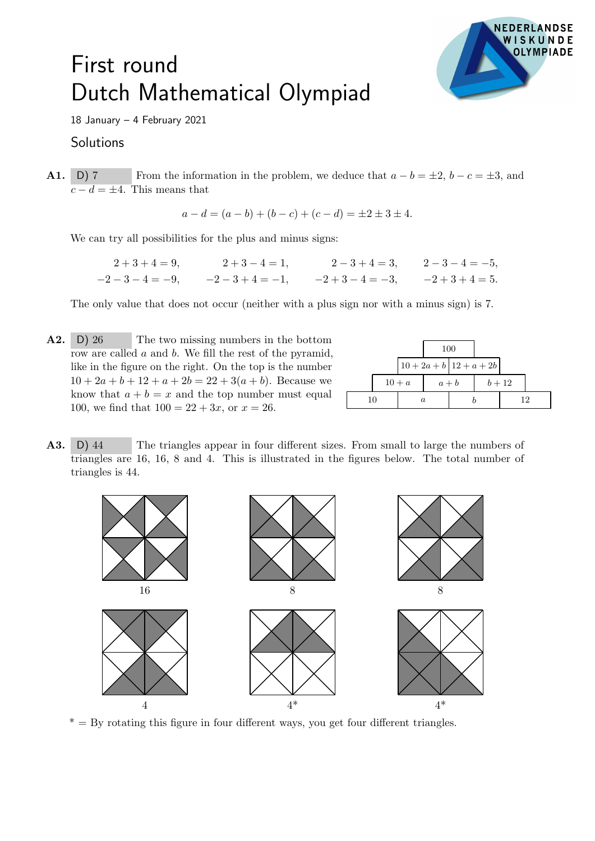## First round Dutch Mathematical Olympiad



18 January – 4 February 2021

## Solutions

**A1.** D) 7 From the information in the problem, we deduce that  $a - b = \pm 2$ ,  $b - c = \pm 3$ , and  $c - d = \pm 4$ . This means that

$$
a - d = (a - b) + (b - c) + (c - d) = \pm 2 \pm 3 \pm 4.
$$

We can try all possibilities for the plus and minus signs:

$$
2+3+4=9,
$$
  
\n
$$
2+3-4=1,
$$
  
\n
$$
2-3+4=3,
$$
  
\n
$$
2-3-4=-5,
$$
  
\n
$$
-2-3-4=-9,
$$
  
\n
$$
2-3+4=3,
$$
  
\n
$$
2-3-4=-5,
$$
  
\n
$$
-2+3-4=-3,
$$
  
\n
$$
2+3+4=5.
$$

The only value that does not occur (neither with a plus sign nor with a minus sign) is 7.

 $A2.$  D) 26 The two missing numbers in the bottom row are called a and b. We fill the rest of the pyramid, like in the figure on the right. On the top is the number  $10 + 2a + b + 12 + a + 2b = 22 + 3(a + b)$ . Because we know that  $a + b = x$  and the top number must equal 100, we find that  $100 = 22 + 3x$ , or  $x = 26$ .

|    |  |          | 100 |                             |  |        |  |
|----|--|----------|-----|-----------------------------|--|--------|--|
|    |  |          |     | $10 + 2a + b$ 12 + $a + 2b$ |  |        |  |
|    |  | $10 + a$ |     | $a + b$                     |  | $b+12$ |  |
| 10 |  | a        |     |                             |  | 12     |  |

A3. D) 44 The triangles appear in four different sizes. From small to large the numbers of triangles are 16, 16, 8 and 4. This is illustrated in the figures below. The total number of triangles is 44.



 $* = By rotating this figure in four different ways, you get four different triangles.$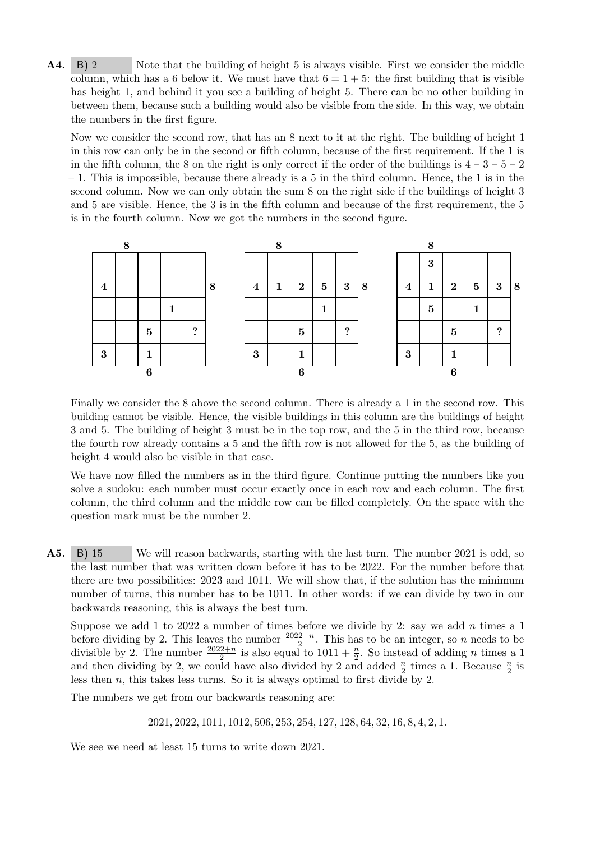A4. B) 2 Note that the building of height 5 is always visible. First we consider the middle column, which has a 6 below it. We must have that  $6 = 1 + 5$ : the first building that is visible has height 1, and behind it you see a building of height 5. There can be no other building in between them, because such a building would also be visible from the side. In this way, we obtain the numbers in the first figure.

Now we consider the second row, that has an 8 next to it at the right. The building of height 1 in this row can only be in the second or fifth column, because of the first requirement. If the 1 is in the fifth column, the 8 on the right is only correct if the order of the buildings is  $4-3-5-2$ – 1. This is impossible, because there already is a 5 in the third column. Hence, the 1 is in the second column. Now we can only obtain the sum 8 on the right side if the buildings of height 3 and 5 are visible. Hence, the 3 is in the fifth column and because of the first requirement, the 5 is in the fourth column. Now we got the numbers in the second figure.



Finally we consider the 8 above the second column. There is already a 1 in the second row. This building cannot be visible. Hence, the visible buildings in this column are the buildings of height 3 and 5. The building of height 3 must be in the top row, and the 5 in the third row, because the fourth row already contains a 5 and the fifth row is not allowed for the 5, as the building of height 4 would also be visible in that case.

We have now filled the numbers as in the third figure. Continue putting the numbers like you solve a sudoku: each number must occur exactly once in each row and each column. The first column, the third column and the middle row can be filled completely. On the space with the question mark must be the number 2.

A5. B) 15 We will reason backwards, starting with the last turn. The number 2021 is odd, so the last number that was written down before it has to be 2022. For the number before that there are two possibilities: 2023 and 1011. We will show that, if the solution has the minimum number of turns, this number has to be 1011. In other words: if we can divide by two in our backwards reasoning, this is always the best turn.

Suppose we add 1 to 2022 a number of times before we divide by 2: say we add n times a 1 before dividing by 2. This leaves the number  $\frac{2022+n}{2}$ . This has to be an integer, so *n* needs to be divisible by 2. This leaves the number  $\frac{2022+n}{2}$  is also equal to  $1011 + \frac{n}{2}$ . So instead of adding *n* times a 1 and then dividing by 2, we could have also divided by 2 and added  $\frac{n}{2}$  times a 1. Because  $\frac{n}{2}$  is less then n, this takes less turns. So it is always optimal to first divide by 2.

The numbers we get from our backwards reasoning are:

2021, 2022, 1011, 1012, 506, 253, 254, 127, 128, 64, 32, 16, 8, 4, 2, 1.

We see we need at least 15 turns to write down 2021.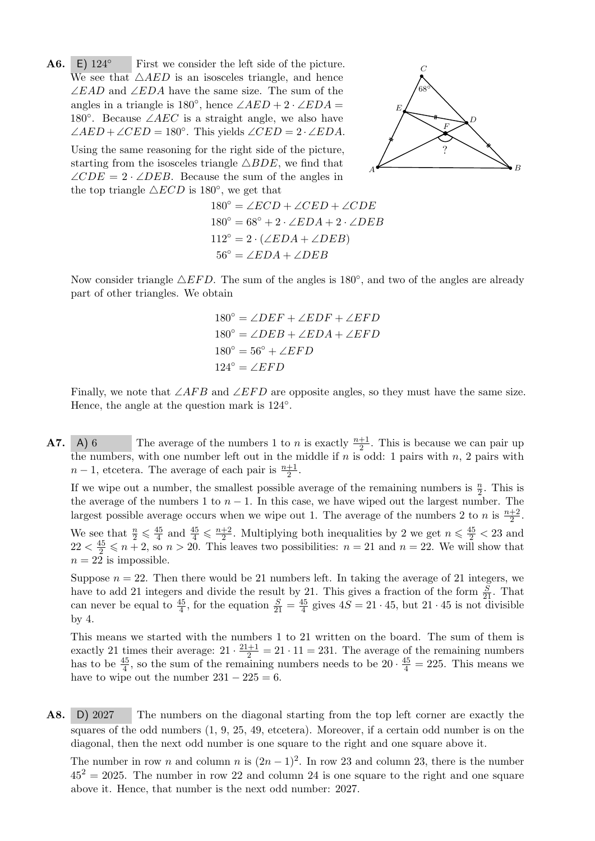$A6.$ E)  $124^\circ$  First we consider the left side of the picture. We see that  $\triangle AED$  is an isosceles triangle, and hence ∠EAD and ∠EDA have the same size. The sum of the angles in a triangle is  $180^\circ$ , hence  $\angle AED + 2 \cdot \angle EDA =$ 180 $\degree$ . Because ∠AEC is a straight angle, we also have  $\angle AED + \angle CED = 180^\circ$ . This yields  $\angle CED = 2 \cdot \angle EDA$ .

Using the same reasoning for the right side of the picture, starting from the isosceles triangle  $\triangle BDE$ , we find that  $\angle CDE = 2 \cdot \angle DEB$ . Because the sum of the angles in the top triangle  $\triangle ECD$  is 180 $^{\circ}$ , we get that



$$
180^{\circ} = \angle ECD + \angle CED + \angle CDE
$$
  
\n
$$
180^{\circ} = 68^{\circ} + 2 \cdot \angle EDA + 2 \cdot \angle DEB
$$
  
\n
$$
112^{\circ} = 2 \cdot (\angle EDA + \angle DEB)
$$
  
\n
$$
56^{\circ} = \angle EDA + \angle DEB
$$

Now consider triangle  $\triangle EFD$ . The sum of the angles is 180 $^{\circ}$ , and two of the angles are already part of other triangles. We obtain

$$
180^{\circ} = \angle DEF + \angle EDF + \angle EFD
$$
  
\n
$$
180^{\circ} = \angle DEB + \angle EDA + \angle EFD
$$
  
\n
$$
180^{\circ} = 56^{\circ} + \angle EFD
$$
  
\n
$$
124^{\circ} = \angle EFD
$$

Finally, we note that  $\angle AFB$  and  $\angle EFD$  are opposite angles, so they must have the same size. Hence, the angle at the question mark is  $124^\circ$ .

**A7.** A) 6 The average of the numbers 1 to *n* is exactly  $\frac{n+1}{2}$ . This is because we can pair up the numbers, with one number left out in the middle if  $n$  is odd: 1 pairs with  $n$ , 2 pairs with  $n-1$ , etcetera. The average of each pair is  $\frac{n+1}{2}$ .

If we wipe out a number, the smallest possible average of the remaining numbers is  $\frac{n}{2}$ . This is the average of the numbers 1 to  $n-1$ . In this case, we have wiped out the largest number. The largest possible average occurs when we wipe out 1. The average of the numbers 2 to n is  $\frac{n+2}{2}$ . We see that  $\frac{n}{2} \leqslant \frac{45}{4}$  $\frac{45}{4}$  and  $\frac{45}{4} \leqslant \frac{n+2}{2}$  $\frac{+2}{2}$ . Multiplying both inequalities by 2 we get  $n \leq \frac{45}{2} < 23$  and  $22 < \frac{45}{2} \leq n + 2$ , so  $n > 20$ . This leaves two possibilities:  $n = 21$  and  $n = 22$ . We will show that  $n = 22$  is impossible.

Suppose  $n = 22$ . Then there would be 21 numbers left. In taking the average of 21 integers, we have to add 21 integers and divide the result by 21. This gives a fraction of the form  $\frac{S}{21}$ . That can never be equal to  $\frac{45}{4}$ , for the equation  $\frac{S}{21} = \frac{45}{4}$  $\frac{45}{4}$  gives  $4S = 21 \cdot 45$ , but  $21 \cdot 45$  is not divisible by 4.

This means we started with the numbers 1 to 21 written on the board. The sum of them is exactly 21 times their average:  $21 \cdot \frac{21+1}{2} = 21 \cdot 11 = 231$ . The average of the remaining numbers has to be  $\frac{45}{4}$ , so the sum of the remaining numbers needs to be  $20 \cdot \frac{45}{4} = 225$ . This means we have to wipe out the number  $231 - 225 = 6$ .

A8. D) 2027 The numbers on the diagonal starting from the top left corner are exactly the squares of the odd numbers (1, 9, 25, 49, etcetera). Moreover, if a certain odd number is on the diagonal, then the next odd number is one square to the right and one square above it.

The number in row n and column n is  $(2n-1)^2$ . In row 23 and column 23, there is the number  $45^2 = 2025$ . The number in row 22 and column 24 is one square to the right and one square above it. Hence, that number is the next odd number: 2027.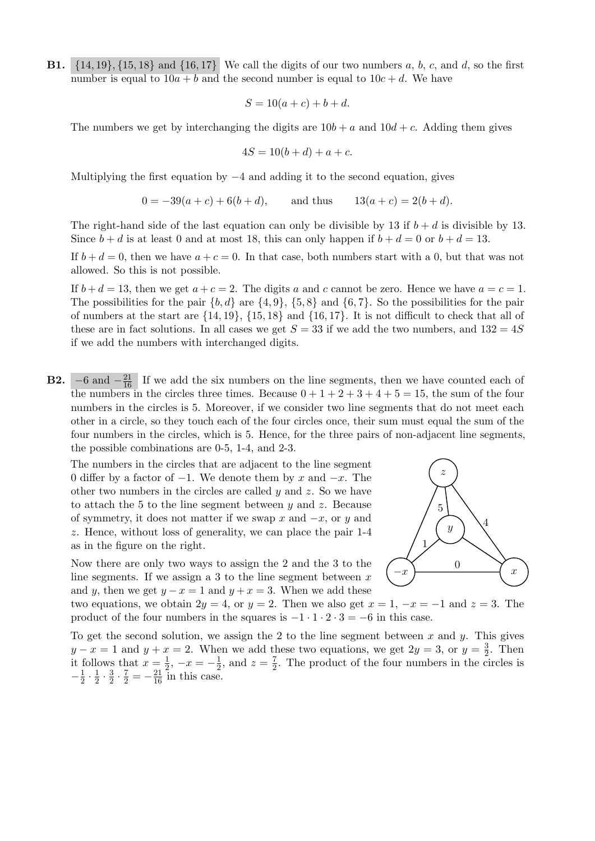**B1.**  $\{14, 19\}, \{15, 18\}$  and  $\{16, 17\}$  We call the digits of our two numbers a, b, c, and d, so the first number is equal to  $10a + b$  and the second number is equal to  $10c + d$ . We have

$$
S = 10(a + c) + b + d.
$$

The numbers we get by interchanging the digits are  $10b + a$  and  $10d + c$ . Adding them gives

$$
4S = 10(b+d) + a + c.
$$

Multiplying the first equation by  $-4$  and adding it to the second equation, gives

$$
0 = -39(a+c) + 6(b+d), \qquad \text{and thus} \qquad 13(a+c) = 2(b+d).
$$

The right-hand side of the last equation can only be divisible by 13 if  $b + d$  is divisible by 13. Since  $b + d$  is at least 0 and at most 18, this can only happen if  $b + d = 0$  or  $b + d = 13$ .

If  $b + d = 0$ , then we have  $a + c = 0$ . In that case, both numbers start with a 0, but that was not allowed. So this is not possible.

If  $b + d = 13$ , then we get  $a + c = 2$ . The digits a and c cannot be zero. Hence we have  $a = c = 1$ . The possibilities for the pair  $\{b, d\}$  are  $\{4, 9\}$ ,  $\{5, 8\}$  and  $\{6, 7\}$ . So the possibilities for the pair of numbers at the start are  $\{14, 19\}$ ,  $\{15, 18\}$  and  $\{16, 17\}$ . It is not difficult to check that all of these are in fact solutions. In all cases we get  $S = 33$  if we add the two numbers, and  $132 = 4S$ if we add the numbers with interchanged digits.

**B2.**  $-6$  and  $-\frac{21}{16}$  If we add the six numbers on the line segments, then we have counted each of the numbers in the circles three times. Because  $0 + 1 + 2 + 3 + 4 + 5 = 15$ , the sum of the four numbers in the circles is 5. Moreover, if we consider two line segments that do not meet each other in a circle, so they touch each of the four circles once, their sum must equal the sum of the four numbers in the circles, which is 5. Hence, for the three pairs of non-adjacent line segments, the possible combinations are 0-5, 1-4, and 2-3.

The numbers in the circles that are adjacent to the line segment 0 differ by a factor of  $-1$ . We denote them by x and  $-x$ . The other two numbers in the circles are called  $y$  and  $z$ . So we have to attach the 5 to the line segment between  $y$  and  $z$ . Because of symmetry, it does not matter if we swap x and  $-x$ , or y and z. Hence, without loss of generality, we can place the pair 1-4 as in the figure on the right.

Now there are only two ways to assign the 2 and the 3 to the line segments. If we assign a 3 to the line segment between  $x$ and y, then we get  $y - x = 1$  and  $y + x = 3$ . When we add these



two equations, we obtain  $2y = 4$ , or  $y = 2$ . Then we also get  $x = 1, -x = -1$  and  $z = 3$ . The product of the four numbers in the squares is  $-1 \cdot 1 \cdot 2 \cdot 3 = -6$  in this case.

To get the second solution, we assign the 2 to the line segment between x and y. This gives  $y - x = 1$  and  $y + x = 2$ . When we add these two equations, we get  $2y = 3$ , or  $y = \frac{3}{2}$ . Then  $y - x = 1$  and  $y + x = 2$ . When we add these two equations, we get  $2y = 3$ , or  $y = \frac{1}{2}$  it follows that  $x = \frac{1}{2}$ ,  $-x = -\frac{1}{2}$ , and  $z = \frac{7}{2}$ . The product of the four numbers in the c  $\frac{1}{2}$ ,  $-x = -\frac{1}{2}$  $\frac{1}{2}$ , and  $z = \frac{7}{2}$  $\frac{7}{2}$ . The product of the four numbers in the circles is  $-\frac{1}{2}$  $rac{1}{2} \cdot \frac{1}{2}$  $rac{1}{2} \cdot \frac{3}{2}$  $\frac{3}{2} \cdot \frac{7}{2} = -\frac{21}{16}$  in this case.